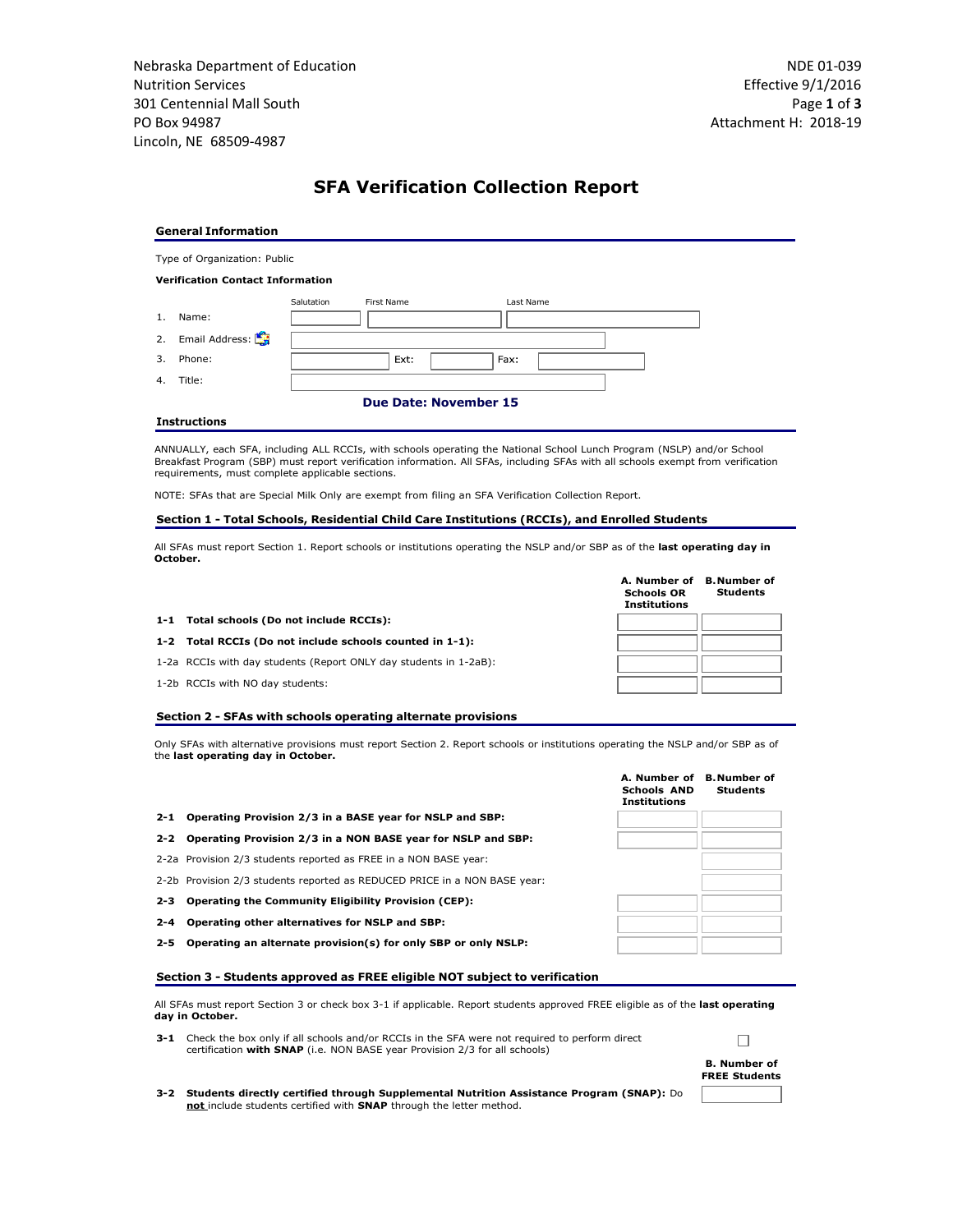Nebraska Department of Education Nutrition Services 301 Centennial Mall South PO Box 94987 Lincoln, NE 68509-4987

# **SFA Verification Collection Report**

#### **General Information**

Type of Organization: Public

**Verification Contact Information**

|    |                   | First Name<br>Last Name      | Salutation |  |
|----|-------------------|------------------------------|------------|--|
| 1. | Name:             |                              |            |  |
|    | 2. Email Address: |                              |            |  |
|    | 3. Phone:         | Ext:<br>Fax:                 |            |  |
| 4. | Title:            |                              |            |  |
|    |                   | <b>Due Date: November 15</b> |            |  |

#### **Instructions**

ANNUALLY, each SFA, including ALL RCCIs, with schools operating the National School Lunch Program (NSLP) and/or School<br>Breakfast Program (SBP) must report verification information. All SFAs, including SFAs with all schools requirements, must complete applicable sections.

NOTE: SFAs that are Special Milk Only are exempt from filing an SFA Verification Collection Report.

#### **Section 1 - Total Schools, Residential Child Care Institutions (RCCIs), and Enrolled Students**

All SFAs must report Section 1. Report schools or institutions operating the NSLP and/or SBP as of the **last operating day in October.**

|                                                                   | A. Number of<br><b>Schools OR</b><br><b>Institutions</b> | <b>B.</b> Number of<br>Students |
|-------------------------------------------------------------------|----------------------------------------------------------|---------------------------------|
| 1-1 Total schools (Do not include RCCIs):                         |                                                          |                                 |
| 1-2 Total RCCIs (Do not include schools counted in 1-1):          |                                                          |                                 |
| 1-2a RCCIs with day students (Report ONLY day students in 1-2aB): |                                                          |                                 |
| 1-2b RCCIs with NO day students:                                  |                                                          |                                 |
|                                                                   |                                                          |                                 |

### **Section 2 - SFAs with schools operating alternate provisions**

Only SFAs with alternative provisions must report Section 2. Report schools or institutions operating the NSLP and/or SBP as of the **last operating day in October.**

|                                                                           | <b>Schools AND</b><br><b>Institutions</b> | <b>Students</b> |
|---------------------------------------------------------------------------|-------------------------------------------|-----------------|
| 2-1 Operating Provision 2/3 in a BASE year for NSLP and SBP:              |                                           |                 |
| 2-2 Operating Provision 2/3 in a NON BASE year for NSLP and SBP:          |                                           |                 |
| 2-2a Provision 2/3 students reported as FREE in a NON BASE year:          |                                           |                 |
| 2-2b Provision 2/3 students reported as REDUCED PRICE in a NON BASE year: |                                           |                 |
| 2-3 Operating the Community Eligibility Provision (CEP):                  |                                           |                 |
| 2-4 Operating other alternatives for NSLP and SBP:                        |                                           |                 |
| 2-5 Operating an alternate provision(s) for only SBP or only NSLP:        |                                           |                 |
|                                                                           |                                           |                 |

## **Section 3 - Students approved as FREE eligible NOT subject to verification**

All SFAs must report Section 3 or check box 3-1 if applicable. Report students approved FREE eligible as of the **last operating day in October.**

**3-1** Check the box only if all schools and/or RCCIs in the SFA were not required to perform direct certification **with SNAP** (i.e. NON BASE year Provision 2/3 for all schools)



**3-2 Students directly certified through Supplemental Nutrition Assistance Program (SNAP):** Do **not** include students certified with **SNAP** through the letter method.

| <b>Institutions</b> |  |
|---------------------|--|
|                     |  |
|                     |  |
|                     |  |
|                     |  |

**A. Number of B.Number of**

**Students**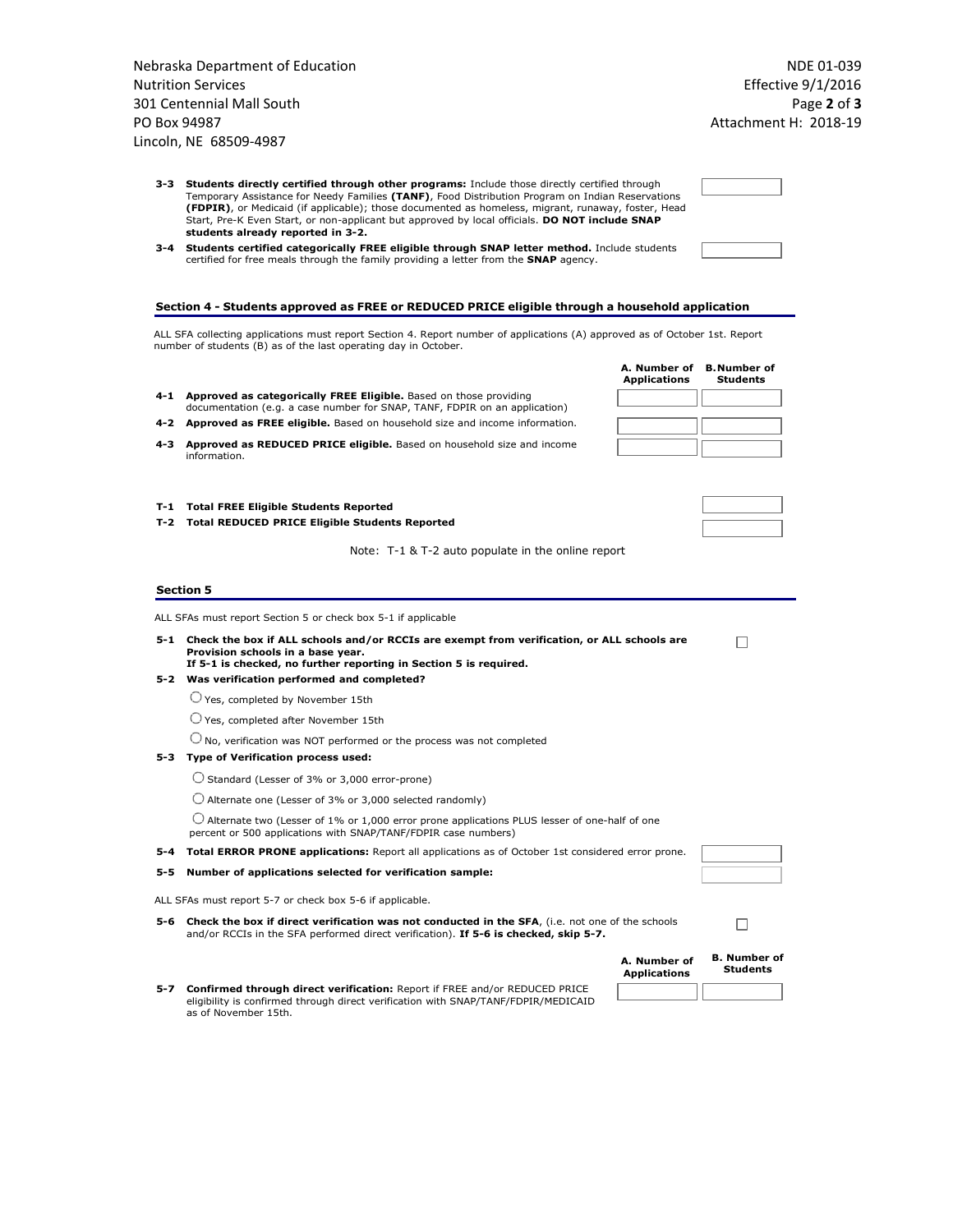| <b>Nutrition Services</b><br>301 Centennial Mall South<br>PO Box 94987<br>Lincoln, NE 68509-4987    | Nebraska Department of Education |
|-----------------------------------------------------------------------------------------------------|----------------------------------|
|                                                                                                     |                                  |
|                                                                                                     |                                  |
|                                                                                                     |                                  |
|                                                                                                     |                                  |
|                                                                                                     |                                  |
| Students directly certified through other pro<br>3-3                                                |                                  |
| Temporary Assistance for Needy Families (TANF)<br>(FDPIR), or Medicaid (if applicable); those docur |                                  |
| Start, Pre-K Even Start, or non-applicant but appr                                                  |                                  |
| students already reported in 3-2.                                                                   |                                  |

| 3-3 Students directly certified through other programs: Include those directly certified through   |
|----------------------------------------------------------------------------------------------------|
| Temporary Assistance for Needy Families (TANF), Food Distribution Program on Indian Reservations   |
| (FDPIR), or Medicaid (if applicable); those documented as homeless, migrant, runaway, foster, Head |
| Start, Pre-K Even Start, or non-applicant but approved by local officials. DO NOT include SNAP     |
| students already reported in 3-2.                                                                  |
|                                                                                                    |

**3-4 Students certified categorically FREE eligible through SNAP letter method.** Include students certified for free meals through the family providing a letter from the **SNAP** agency.

## **Section 4 - Students approved as FREE or REDUCED PRICE eligible through a household application**

ALL SFA collecting applications must report Section 4. Report number of applications (A) approved as of October 1st. Report number of students (B) as of the last operating day in October.

|       |                                                                                                                                                 | <b>Applications</b> | <b>Students</b> |
|-------|-------------------------------------------------------------------------------------------------------------------------------------------------|---------------------|-----------------|
| 4-1   | Approved as categorically FREE Eligible. Based on those providing<br>documentation (e.g. a case number for SNAP, TANF, FDPIR on an application) |                     |                 |
| 4-2   | <b>Approved as FREE eligible.</b> Based on household size and income information.                                                               |                     |                 |
| 4-3   | Approved as REDUCED PRICE eligible. Based on household size and income<br>information.                                                          |                     |                 |
| T-1 – | <b>Total FREE Eligible Students Reported</b>                                                                                                    |                     |                 |
|       | T-2 Total REDUCED PRICE Eligible Students Reported                                                                                              |                     |                 |
|       | Note: T-1 & T-2 auto populate in the online report                                                                                              |                     |                 |

| <b>Section 5</b> |  |
|------------------|--|
|------------------|--|

ALL SFAs must report Section 5 or check box 5-1 if applicable

- **5-1 Check the box if ALL schools and/or RCCIs are exempt from verification, or ALL schools are Provision schools in a base year.**
- **If 5-1 is checked, no further reporting in Section 5 is required. 5-2 Was verification performed and completed?**
	- Yes, completed by November 15th
	- Yes, completed after November 15th

 $\bigcirc$  No, verification was NOT performed or the process was not completed

### **5-3 Type of Verification process used:**

Standard (Lesser of 3% or 3,000 error-prone)

 $\bigcirc$  Alternate one (Lesser of 3% or 3,000 selected randomly)

 $\bigcirc$  Alternate two (Lesser of 1% or 1,000 error prone applications PLUS lesser of one-half of one percent or 500 applications with SNAP/TANF/FDPIR case numbers)

**5-4 Total ERROR PRONE applications:** Report all applications as of October 1st considered error prone.

**5-5 Number of applications selected for verification sample:**

ALL SFAs must report 5-7 or check box 5-6 if applicable.

**5-6 Check the box if direct verification was not conducted in the SFA**, (i.e. not one of the schools and/or RCCIs in the SFA performed direct verification). **If 5-6 is checked, skip 5-7.**

| A. Number of<br><b>Applications</b> | <b>B.</b> Number of<br><b>Students</b> |
|-------------------------------------|----------------------------------------|
|                                     |                                        |

**A. Number of B.Number of**

 $\Box$ 

 $\Box$ 

**5-7 Confirmed through direct verification:** Report if FREE and/or REDUCED PRICE eligibility is confirmed through direct verification with SNAP/TANF/FDPIR/MEDICAID as of November 15th.